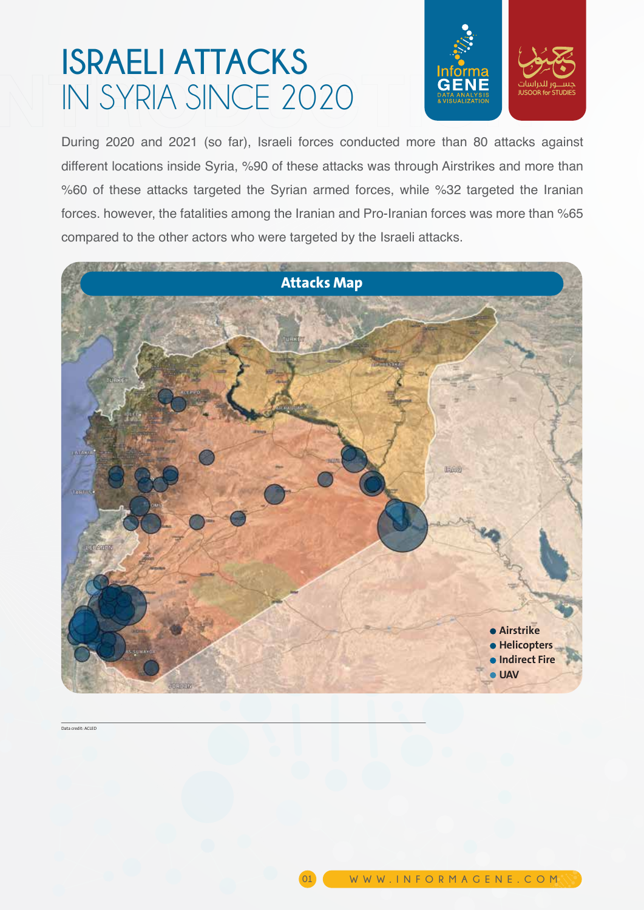## **ISRAELI ATTACKS** IN SYRIA SINCE 2020



During 2020 and 2021 (so far), Israeli forces conducted more than 80 attacks against different locations inside Syria, %90 of these attacks was through Airstrikes and more than %60 of these attacks targeted the Syrian armed forces, while %32 targeted the Iranian forces. however, the fatalities among the Iranian and Pro-Iranian forces was more than %65 compared to the other actors who were targeted by the Israeli attacks.



**01**